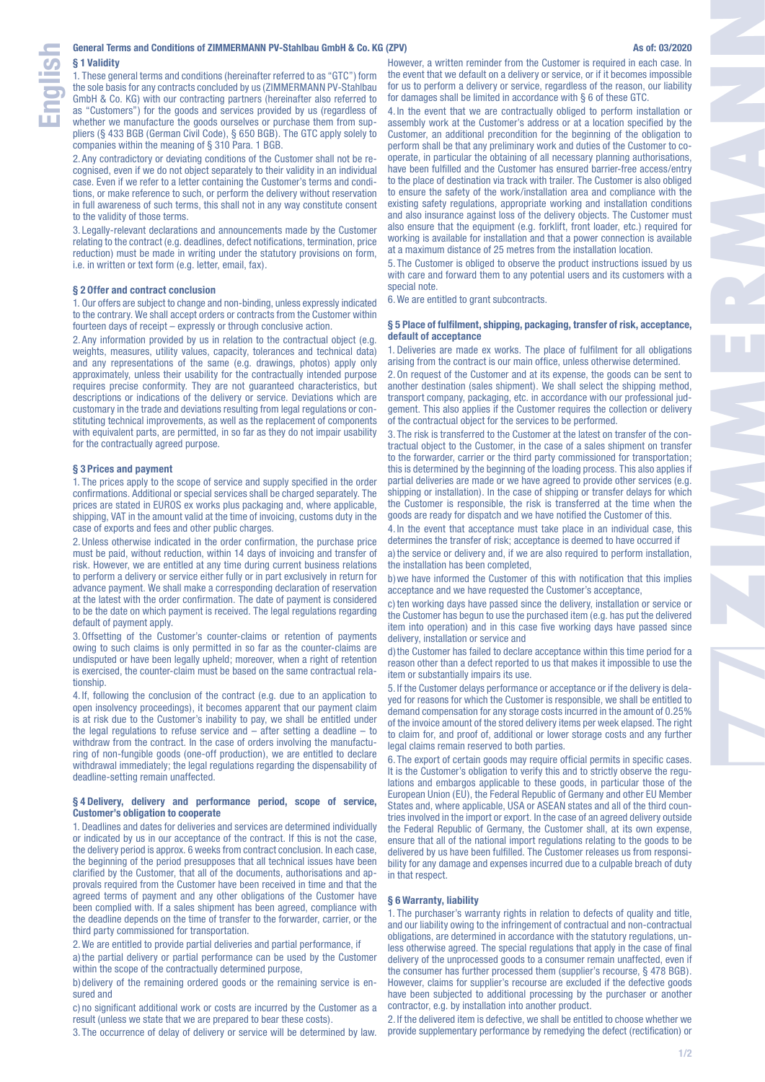1. These general terms and conditions (hereinafter referred to as "GTC") form the sole basis for any contracts concluded by us (ZIMMERMANN PV-Stahlbau GmbH & Co. KG) with our contracting partners (hereinafter also referred to as "Customers") for the goods and services provided by us (regardless of whether we manufacture the goods ourselves or purchase them from suppliers (§ 433 BGB (German Civil Code), § 650 BGB). The GTC apply solely to companies within the meaning of § 310 Para. 1 BGB.

2. Any contradictory or deviating conditions of the Customer shall not be recognised, even if we do not object separately to their validity in an individual case. Even if we refer to a letter containing the Customer's terms and conditions, or make reference to such, or perform the delivery without reservation in full awareness of such terms, this shall not in any way constitute consent to the validity of those terms.

3. Legally-relevant declarations and announcements made by the Customer relating to the contract (e.g. deadlines, defect notifications, termination, price reduction) must be made in writing under the statutory provisions on form, i.e. in written or text form (e.g. letter, email, fax).

# **§ 2 Offer and contract conclusion**

1. Our offers are subject to change and non-binding, unless expressly indicated to the contrary. We shall accept orders or contracts from the Customer within fourteen days of receipt – expressly or through conclusive action.

2. Any information provided by us in relation to the contractual object (e.g. weights, measures, utility values, capacity, tolerances and technical data) and any representations of the same (e.g. drawings, photos) apply only approximately, unless their usability for the contractually intended purpose requires precise conformity. They are not guaranteed characteristics, but descriptions or indications of the delivery or service. Deviations which are customary in the trade and deviations resulting from legal regulations or constituting technical improvements, as well as the replacement of components with equivalent parts, are permitted, in so far as they do not impair usability for the contractually agreed purpose.

## **§ 3 Prices and payment**

1. The prices apply to the scope of service and supply specified in the order confirmations. Additional or special services shall be charged separately. The prices are stated in EUROS ex works plus packaging and, where applicable, shipping. VAT in the amount valid at the time of invoicing, customs duty in the case of exports and fees and other public charges.

2. Unless otherwise indicated in the order confirmation, the purchase price must be paid, without reduction, within 14 days of invoicing and transfer of risk. However, we are entitled at any time during current business relations to perform a delivery or service either fully or in part exclusively in return for advance payment. We shall make a corresponding declaration of reservation at the latest with the order confirmation. The date of payment is considered to be the date on which payment is received. The legal regulations regarding default of payment apply.

3.Offsetting of the Customer's counter-claims or retention of payments owing to such claims is only permitted in so far as the counter-claims are undisputed or have been legally upheld; moreover, when a right of retention is exercised, the counter-claim must be based on the same contractual relationship.

4. If, following the conclusion of the contract (e.g. due to an application to open insolvency proceedings), it becomes apparent that our payment claim is at risk due to the Customer's inability to pay, we shall be entitled under the legal regulations to refuse service and  $-$  after setting a deadline  $-$  to withdraw from the contract. In the case of orders involving the manufacturing of non-fungible goods (one-off production), we are entitled to declare withdrawal immediately; the legal regulations regarding the dispensability of deadline-setting remain unaffected.

## **§ 4 Delivery, delivery and performance period, scope of service, Customer's obligation to cooperate**

1. Deadlines and dates for deliveries and services are determined individually or indicated by us in our acceptance of the contract. If this is not the case, the delivery period is approx. 6 weeks from contract conclusion. In each case, the beginning of the period presupposes that all technical issues have been clarified by the Customer, that all of the documents, authorisations and approvals required from the Customer have been received in time and that the agreed terms of payment and any other obligations of the Customer have been complied with. If a sales shipment has been agreed, compliance with the deadline depends on the time of transfer to the forwarder, carrier, or the third party commissioned for transportation.

2.We are entitled to provide partial deliveries and partial performance, if

a) the partial delivery or partial performance can be used by the Customer within the scope of the contractually determined purpose,

b)delivery of the remaining ordered goods or the remaining service is ensured and

c) no significant additional work or costs are incurred by the Customer as a result (unless we state that we are prepared to bear these costs).

3. The occurrence of delay of delivery or service will be determined by law.

However, a written reminder from the Customer is required in each case. In the event that we default on a delivery or service, or if it becomes impossible for us to perform a delivery or service, regardless of the reason, our liability for damages shall be limited in accordance with § 6 of these GTC.

4. In the event that we are contractually obliged to perform installation or assembly work at the Customer's address or at a location specified by the Customer, an additional precondition for the beginning of the obligation to perform shall be that any preliminary work and duties of the Customer to cooperate, in particular the obtaining of all necessary planning authorisations, have been fulfilled and the Customer has ensured barrier-free access/entry to the place of destination via track with trailer. The Customer is also obliged to ensure the safety of the work/installation area and compliance with the existing safety regulations, appropriate working and installation conditions and also insurance against loss of the delivery objects. The Customer must also ensure that the equipment (e.g. forklift, front loader, etc.) required for working is available for installation and that a power connection is available at a maximum distance of 25 metres from the installation location.

5. The Customer is obliged to observe the product instructions issued by us with care and forward them to any potential users and its customers with a special note.

6.We are entitled to grant subcontracts.

## **§ 5 Place of fulfilment, shipping, packaging, transfer of risk, acceptance, default of acceptance**

1. Deliveries are made ex works. The place of fulfilment for all obligations arising from the contract is our main office, unless otherwise determined.

2.On request of the Customer and at its expense, the goods can be sent to another destination (sales shipment). We shall select the shipping method, transport company, packaging, etc. in accordance with our professional judgement. This also applies if the Customer requires the collection or delivery of the contractual object for the services to be performed.

3. The risk is transferred to the Customer at the latest on transfer of the contractual object to the Customer, in the case of a sales shipment on transfer to the forwarder, carrier or the third party commissioned for transportation; this is determined by the beginning of the loading process. This also applies if partial deliveries are made or we have agreed to provide other services (e.g. shipping or installation). In the case of shipping or transfer delays for which the Customer is responsible, the risk is transferred at the time when the goods are ready for dispatch and we have notified the Customer of this.

4. In the event that acceptance must take place in an individual case, this determines the transfer of risk; acceptance is deemed to have occurred if

a) the service or delivery and, if we are also required to perform installation, the installation has been completed,

b)we have informed the Customer of this with notification that this implies acceptance and we have requested the Customer's acceptance,

c) ten working days have passed since the delivery, installation or service or the Customer has begun to use the purchased item (e.g. has put the delivered item into operation) and in this case five working days have passed since delivery, installation or service and

d)the Customer has failed to declare acceptance within this time period for a reason other than a defect reported to us that makes it impossible to use the item or substantially impairs its use.

5. If the Customer delays performance or acceptance or if the delivery is delayed for reasons for which the Customer is responsible, we shall be entitled to demand compensation for any storage costs incurred in the amount of 0.25% of the invoice amount of the stored delivery items per week elapsed. The right to claim for, and proof of, additional or lower storage costs and any further legal claims remain reserved to both parties.

6. The export of certain goods may require official permits in specific cases. It is the Customer's obligation to verify this and to strictly observe the regulations and embargos applicable to these goods, in particular those of the European Union (EU), the Federal Republic of Germany and other EU Member States and, where applicable, USA or ASEAN states and all of the third countries involved in the import or export. In the case of an agreed delivery outside the Federal Republic of Germany, the Customer shall, at its own expense, ensure that all of the national import regulations relating to the goods to be delivered by us have been fulfilled. The Customer releases us from responsibility for any damage and expenses incurred due to a culpable breach of duty in that respect.

#### **§ 6 Warranty, liability**

1. The purchaser's warranty rights in relation to defects of quality and title, and our liability owing to the infringement of contractual and non-contractual obligations, are determined in accordance with the statutory regulations, unless otherwise agreed. The special regulations that apply in the case of final delivery of the unprocessed goods to a consumer remain unaffected, even if the consumer has further processed them (supplier's recourse, § 478 BGB). However, claims for supplier's recourse are excluded if the defective goods have been subjected to additional processing by the purchaser or another contractor, e.g. by installation into another product.

2. If the delivered item is defective, we shall be entitled to choose whether we provide supplementary performance by remedying the defect (rectification) or